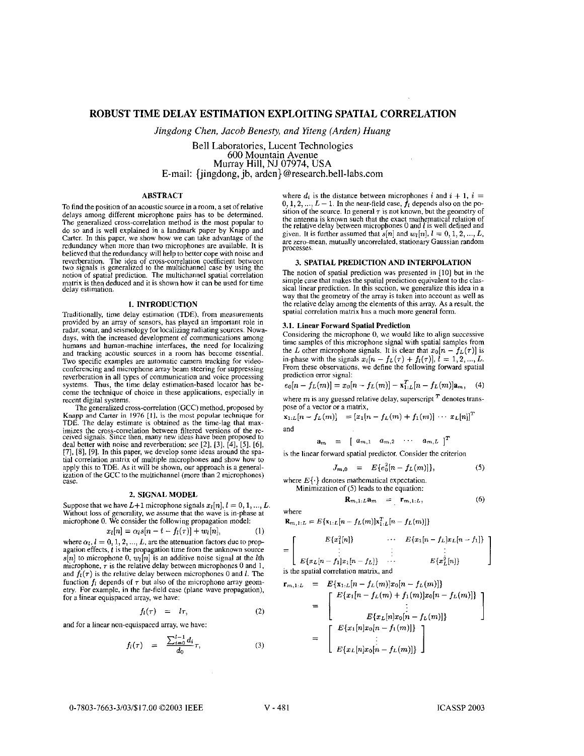# **ROBUST TIME DELAY ESTIMATION EXPLOITING SPATIAL CORRELATION**

*Jingdong Chen, Jacob Benesty, and Yiteng (Arden) Hung* 

Bell Laboratories. Lucent Technologies 600 Mountain Avenue Murrav Hill. NJ 07974. **USA**  Bell Laboratories, Lucent Technologies E-mail: {jingdong,'jb, arden} [@research.bell-labs.com](mailto:research.bell-labs.com)

# ABSTRACT

To find the position of an acoustic source in a room, a set of relative delays among different microphone pairs has to **be** determined. The generalized cross-correlation method is the most popular to do so and is well explained in a landmark paper by Knapp and Carter. In this paper, we show how we can take advantage of the redundancy when more than two microphones are available. It is redundancy when more than two incrophones are available. It is<br>believed that the redundancy will help to better cope with noise and<br>vereberation. The idea of cross-correlation coefficient between<br>two signals is generalized matrix isthen deduced and it is shown how it can be used for time delay estimation.

# **1.** INTRODUCTION

Traditionally, time delay estimation (TDE), from measurements provided by **an** array of sensors, has played an important role in radar, sonar, and seismology for localizing radiating sources. Nowadays, with the increased development of communications among humans and human-machine interfaces, the need for localizing and tracking acoustic sources in a room has become essential. Two specific examples are automatic camera tracking for videoconferencing and microphone array beam steering for suppressing reverberation in all types of communication and voice processing systems. Thus, the time delay estimation-based locator has be-<br>come the technique of choice in these applications, especially in recent digital systems.

The generalized cross-correlation (GCC) method, proposed by **Knapp** and Carter in **<sup>1976</sup>**[I], **is the** most **popular** technique for TDE. The delay estimate is obtained as the time-lag that maximizes the cross-correlation between filtered versions of the re-<br>ceived signals. Since then, many new ideas have been proposed to<br>deal better with noise and reverberation; see [2], [3], [4], [5], [6],<br>[7], [8], [9]. In th tial correlation matrix of multiple microphones and show how to apply this to TDE. As it will be shown, our approach is a generalapply this **to TDE. As** it will be shown, **our** approach is a general-ization of the GCC to the multichannel (more than 2 microphones) case.

# *2.* SIGNAL MODEL

Suppose that we have  $L+1$  microphone signals  $x_l[n], l = 0, 1, ..., L$ . Without loss of generality, we assume that the wave is in-phase at microphone 0. We consider the following propagation model:<br> $x_l[n] = \alpha_l s[n - t - f_l(\tau)] + w_l[n],$  (1)

$$
[n] = \alpha_l s[n - t - f_l(\tau)] + w_l[n], \qquad (1)
$$

where  $\alpha_i$ ,  $l = 0, 1, 2, ..., L$ , are the attenuation factors due to propagation effects, *t* is the propagation time from the unknown source  $\mathbb{E}[n]$  to microphone 0,  $w_i[n]$  is an additive noise signal at the *l*th microphone, *T* is the relative delay between microphones 0 and 1, and  $f_i(\tau)$  is the relative delay between microphones 0 and *l*. The function  $f_i$  depends of  $\tau$  but also of the microphone array geometry. For example, in the far-field case (plane wave propagation), for a linear equispaced array, we have:

$$
f_l(\tau) = l\tau, \tag{2}
$$

and for a linear non-equispaced array, we have:

$$
f_l(\tau) = i\tau,
$$
\nequispaced array, we have:

\n
$$
f_l(\tau) = \frac{\sum_{i=0}^{l-1} d_i}{d_0} \tau,
$$
\n(3)

where  $d_i$  is the distance between microphones *i* and  $i + 1$ ,  $i = 0, 1, 2, \dots, L - 1$ . In the near-field case,  $f_i$  depends also on the position of the source. In general  $\tau$  is not known, but the geometry of the antenna is known such that the exact mathematical relation of<br>the relative delay between microphones 0 and *l* is well defined and<br>given. It is further assumed that  $s[n]$  and  $w_l[n]$ ,  $l = 0, 1, 2, ..., L$ , are zero-mean, mutually uncorrelated, stationary Gaussian random processes.

# **3.** SPATIAL PREDICTION AND INTERPOLATION

The notion of spatial prediction was presented in [IO] but in the simple case that makes the spatial prediction equivalent to the classical linear prediction. In this section, we generalize this idea in a way that the geometry of the array is taken into account as well as the relative delay among the elements of this array. **As** a result, the spatial correlation matrix has **a** much more general form.

### **3.1.** Linear Forward Spatial Prediction

Considering the microphone 0, we would like to align successive time samples of this microphone signal with spatial samples from the *L* other microphone signals. It is clear that  $x_0[n - f_L(\tau)]$  is the *L* other microphone signals. It is clear that  $x_0[n - f_L(\tau)]$  is in-phase with the signals  $x_i[n - f_L(\tau) + f_l(\tau)]$ ,  $l = 1, 2, ..., L$ . From these observations, we define the following forward spatial prediction error signal:

$$
e_0[n - f_L(m)] = x_0[n - f_L(m)] - x_{1:L}^T[n - f_L(m)]a_m, \quad (4)
$$

where  $m$  is any guessed relative delay, superscript  $T$  denotes trans-

pose of a vector or a matrix,  
\n
$$
\mathbf{x}_{1:L}[n - f_L(m)] = [x_1[n - f_L(m) + f_1(m)] \cdots x_L[n]]^T
$$
\nand

 $a_m = [a_{m,1} \ a_{m,2} \ \cdots \ a_{m,L}]^T$ 

is the linear forward spatial predictor. Consider the criterion

$$
J_{m,0} = E\{e_0^2[n - f_L(m)]\},\tag{5}
$$

where  $E\{\cdot\}$  denotes mathematical expectation.<br>Minimization of (5) leads to the equation:

$$
\mathbf{R}_{m,1:L} \mathbf{a}_m = \mathbf{r}_{m,1:L}, \tag{6}
$$

$$
f_{\rm{max}}
$$

where

 $\mathbf{R}_{m,1:L} = E\{\mathbf{x}_{1:L}[n-f_L(m)]\mathbf{x}_{1:L}^T[n-f_L(m)]\}$ 

$$
= \left[\begin{array}{ccc} E\{x_1^2[n]\} & \cdots & E\{x_1[n-f_L]x_L[n-f_1]\} \\ \vdots & \vdots & \vdots \\ E\{x_L[n-f_1]x_1[n-f_L]\} & \cdots & E\{x_L^2[n]\} \end{array}\right]
$$
is the partial correlation matrix and

is the spatial correlation matrix, and

$$
\mathbf{r}_{m,1:L} = E\{x_{1:L}[n - f_L(m)]x_0[n - f_L(m)]\}
$$
  
= 
$$
\begin{bmatrix} E\{x_1[n - f_L(m)]x_0[n - f_L(m)]\} \\ \vdots \\ E\{x_L[n]x_0[n - f_L(m)]\} \end{bmatrix}
$$
  
= 
$$
\begin{bmatrix} E\{x_1[n]x_0[n - f_1(m)]\} \\ \vdots \\ E\{x_L[n]x_0[n - f_L(m)]\} \end{bmatrix}
$$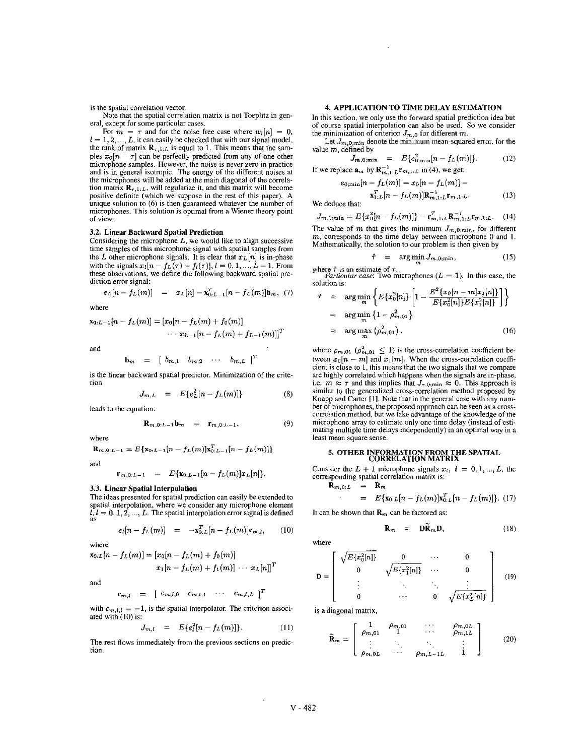is the spatial correlation vector.

Note that the spatial correlation matrix is not Toeplitz in general, except for some particular cases.

For  $m = \tau$  and for the noise free case where  $w_i[n] = 0$ ,  $l = 1, 2, ..., L$ , it can easily be checked that with our signal model, the rank of matrix  $\mathbf{R}_{\tau,1:L}$  is equal to 1. This means that the samples  $x_0[n - \tau]$  can be perfectly predicted from any of one other microphone samples. However, the noise is never zero in practice and is in general isotropic. The energy of the different noises at the microphones will he added at the main diagonal of the correlation matrix  $\mathbf{R}_{\tau,1:L}$ , will regularize it, and this matrix will become positive definite (which we suppose in the rest of this paper). **A**  unique solution to **(6)** is then guaranteed whatever the number of microphones. This solution is optimal from **a** Wiener theory point of view.

# **3.2.** Linear Backward Spatial Prediction

Considering the microphone *L,* we would like to align successive time samples of this microphone signal with spatial samples from the *L* other microphone signals. It is clear that  $x_L[n]$  is in-phase with the signals  $x_l[n - f_L(\tau) + f_l(\tau)], l = 0, 1, ..., L - 1$ . From these observations, we define the following backward spatial prediction error signal:

$$
e_L[n - f_L(m)] = x_L[n] - x_{0:L-1}^T[n - f_L(m)]\mathbf{b}_m, (7)
$$

where

$$
\mathbf{x}_{0:L-1}[n - f_L(m)] = [x_0[n - f_L(m) + f_0(m)]
$$
  
  $\cdots x_{L-1}[n - f_L(m) + f_{L-1}(m)]]^T$ 

and

$$
\mathbf{b}_m = \begin{bmatrix} b_{m,1} & b_{m,2} & \cdots & b_{m,L} \end{bmatrix}^T
$$

is the linear backward spatial predictor. Minimization of the criterion

$$
J_{m,L} = E\{e_L^2[n - f_L(m)]\} \qquad (8)
$$

leads to the equation:

$$
\mathbf{R}_{m,0:L-1}\mathbf{b}_m = \mathbf{r}_{m,0:L-1}, \qquad (9)
$$

where

$$
\mathbf{R}_{m,0:L-1} = E\{\mathbf{x}_{0:L-1}[n - f_L(m)]\mathbf{x}_{0:L-1}^T[n - f_L(m)]\}
$$

and

$$
\mathbf{r}_{m,0:L-1} = E\{\mathbf{x}_{0:L-1}[n-f_L(m)]x_L[n]\}.
$$

# **3.3.** Linear Spatial Interpolation

The ideas presented for spatial prediction can easily be extended to spatial interpolation, where we consider any microphone element  $L, L = 0, 1, 2, ..., L$ . The spatial interpolation error signal is defined as

$$
e_i[n - f_L(m)] = -x_{0:L}^T[n - f_L(m)]c_{m,l}, \qquad (10)
$$

where

where  

$$
\mathbf{x}_{0:L}[n - f_L(m)] = [x_0[n - f_L(m) + f_0(m)]
$$

$$
x_1[n - f_L(m) + f_1(m)] \cdots x_L[n]]^T
$$

and

$$
\mathbf{c}_{m,l} = \begin{bmatrix} c_{m,l,0} & c_{m,l,1} & \cdots & c_{m,l,L} \end{bmatrix}^T
$$

with  $c_{m,l,l} = -1$ , is the spatial interpolator. The criterion associated with (IO) is:

$$
J_{m,l} = E\{e_l^2[n - f_L(m)]\}.
$$
 (11)

The rest flows immediately from the previous sections on prediction.

# **4.** APPLICATION TO TIME DELAY ESTIMATION

In this section, we only use the forward spatial prediction idea hut of course spatial interpolation can also he used. So we consider the minimization of criterion  $J_{m,0}$  for different  $m$ .

Let  $J_{m,0;\text{min}}$  denote the minimum mean-squared error, for the value  $m$ , defined by

value 
$$
m
$$
, defined by  
\n
$$
J_{m,0;\min} = E\{e_{0;\min}^2[n - f_L(m)]\}.
$$
\nIf we replace  $\mathbf{a}_m$  by  $\mathbf{R}_{m,1:L}^{-1} \mathbf{r}_{m,1:L}$  in (4), we get:

$$
e_{0;\min}[n-f_L(m)]=x_0[n-f_L(m)]-
$$

 $\mathbf{x}_{1:L}^{T}[n - f_L(m)]\mathbf{R}_{m,1:L}^{-1}\mathbf{r}_{m,1:L}.$  (13)

We deduce that:

$$
J_{m,0;\min} = E\{x_0^2[n - f_L(m)]\} - \mathbf{r}_{m,1:L}^T \mathbf{R}_{m,1:L}^{-1} \mathbf{r}_{m,1:L}.
$$
 (14)

The value of *m* that gives the minimum  $J_{m,0,\text{min}}$ , for different *m*, corresponds to the time delay between microphone 0 and 1. Mathematically, the solution to our problem is then given by

$$
\hat{\tau} = \arg\min_{m} J_{m,0;\min}, \qquad (15)
$$

where  $\hat{\tau}$  is an estimate of  $\tau$ .<br> *Particular case*: Two microphones  $(L = 1)$ . In this case, the solution is:

olution is:  
\n
$$
\hat{\tau} = \arg \min_{m} \left\{ E\{x_0^n[n] \} \left[ 1 - \frac{E^2 \{x_0[n-m]x_1[n]\}}{E\{x_0^n[n]\} E\{x_1^n[n]\}} \right] \right\}
$$
\n
$$
= \arg \min_{m} \left\{ 1 - \rho_{m,01}^2 \right\}
$$
\n
$$
= \arg \max_{m} (\rho_{m,01}^2), \qquad (16)
$$

where  $\rho_{m,01}$  ( $\rho_{m,01}^2 \le 1$ ) is the cross-correlation coefficient be-<br>tween  $x_0[n - m]$  and  $x_1[m]$ . When the cross-correlation coeffi-<br>cient is close to 1, this means that the two signals that we compare<br>are highly are highly correlated which happens when the signals are in-phase, i.e.  $m \approx \tau$  and this implies that  $J_{\tau,0;\min} \approx 0$ . This approach is similar to the generalized cross-correlation method proposed by Knapp and Carter [I]. Note that in the general case with any numher of microphones, the proposed approach can he seen as a crosscorrelation method, hut we take advantage of the knowledge of the microphone array to estimate only one time delay (instead of estimating multiple time delays independently) in an optimal way in a least mean square sense.

# **5. OTHER INFORMATION FROM THE** SPATIAL CORRELATION MATRIX

Consider the  $L + 1$  microphone signals  $x_i$ ,  $i = 0, 1, ..., L$ , the corresponding spatial correlation matrix is:

$$
\begin{array}{rcl}\n\mathbf{R}_{m,0:L} & = & \mathbf{R}_m \\
\cdot & = & E\{\mathbf{x}_{0:L}[n-f_L(m)]\mathbf{x}_{0:L}^T[n-f_L(m)]\}.\n\end{array} \tag{17}
$$

It can be shown that  $\mathbf{R}_m$  can be factored as:

$$
\mathbf{R}_m = \mathbf{D}\widetilde{\mathbf{R}}_m \mathbf{D}, \qquad (18)
$$

where

$$
\mathbf{D} = \left[ \begin{array}{cccc} \sqrt{E\{x_0^2[n]\}} & 0 & \cdots & 0 \\ 0 & \sqrt{E\{x_1^2[n]\}} & \cdots & 0 \\ \vdots & \ddots & \ddots & \vdots \\ 0 & \cdots & 0 & \sqrt{E\{x_L^2[n]\}} \end{array} \right] \quad (19)
$$

is a diagonal matrix,

$$
\widetilde{\mathbf{R}}_m = \left[ \begin{array}{cccc} 1 & \rho_{m,01} & \cdots & \rho_{m,0L} \\ \rho_{m,01} & 1 & \cdots & \rho_{m,1L} \\ \vdots & \ddots & \ddots & \vdots \\ \rho_{m,0L} & \cdots & \rho_{m,L-1L} & 1 \end{array} \right] \tag{20}
$$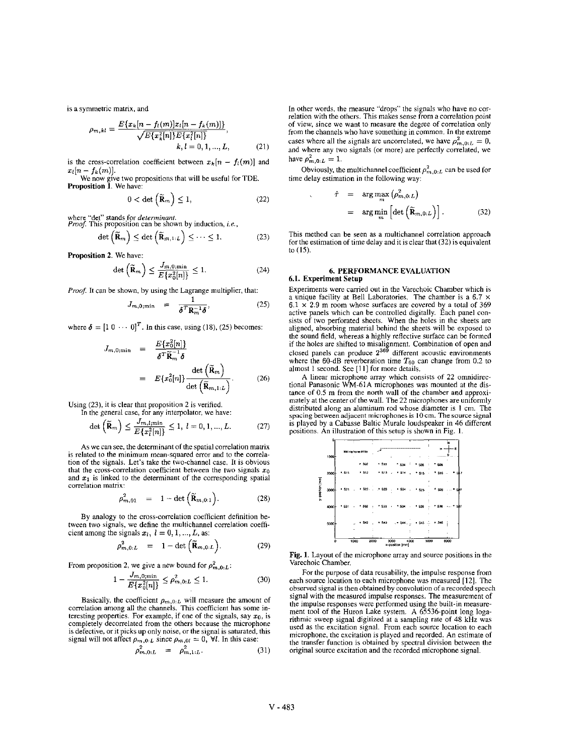$$
\rho_{m,kl} = \frac{E\{x_k[n - f_l(m)]x_l[n - f_k(m)]\}}{\sqrt{E\{x_k^2[n]\}E\{x_l^2[n]\}}},
$$
\n
$$
k, l = 0, 1, ..., L,
$$
\n(21)

is the cross-correlation coefficient between  $x_k[n - f_i(m)]$  and is the cross-correlation coefficient between  $x_k[n - f_k(m)]$  a<br>  $x_l[n - f_k(m)]$ .<br>
We now give two propositions that will be useful for TDE.

Proposition **1.** We have:

$$
0 < \det\left(\widetilde{\mathbf{R}}_m\right) \le 1,\tag{22}
$$

$$
\det\left(\widetilde{\mathbf{R}}_m\right) \leq \det\left(\widetilde{\mathbf{R}}_{m,1:L}\right) \leq \cdots \leq 1. \tag{23}
$$

Proposition **2.** We have:

$$
\det\left(\widetilde{\mathbf{R}}_m\right) \le \frac{J_{m,0;\min}}{E\{x_0^2[n]\}} \le 1. \tag{24}
$$

*Proof.* It can be shown, by using the Lagrange multiplier, that:

$$
J_{m,0;\min} = \frac{1}{\delta^T \mathbf{R}_m^{-1} \delta}, \qquad (25)
$$

where  $\boldsymbol{\delta} = [1 \ 0 \ \cdots \ 0]^T$ . In this case, using (18), (25) becomes:

$$
J_{m,0;\min} = \frac{E\{x_0^2[n]\}}{\delta^T \widetilde{\mathbf{R}}_m^{-1} \delta}
$$
  
= 
$$
E\{x_0^2[n]\} \frac{\det (\widetilde{\mathbf{R}}_m)}{\det (\widetilde{\mathbf{R}}_{m,1:L})}.
$$
 (26)

Using (23), it is clear that proposition 2 is verified.

In the general case, for any interpolator, we have:  
\n
$$
\det\left(\widetilde{\mathbf{R}}_m\right) \leq \frac{J_{m,l;\min}}{E\{x_l^2[n]\}} \leq 1, l = 0, 1, ..., L.
$$

**As** we can see, the determinant of the spatial correlation matrix is related to the minimum mean-squared error and to the correlation of the signals. Let's take the two-channel case. It is obvious that the cross-correlation coefficient between the two signals  $x_0$ and  $x_1$  is linked to the determinant of the corresponding spatial correlation matrix:

$$
\rho_{m,01}^2 = 1 - \det\left(\widetilde{\mathbf{R}}_{m,0:1}\right). \tag{28}
$$

By analogy to the cross-correlation coefficient definition between two signals, we define the multichannel correlation coefficient among the signals  $x_l$ ,  $l = 0, 1, ..., L$ , as:

$$
\rho_{m,0:L}^2 = 1 - \det\left(\widetilde{\mathbf{R}}_{m,0:L}\right).
$$
 (29)

From proposition 2, we give a new bound for  $\rho_{m,0:L}^2$ :

$$
1 - \frac{J_{m,0;\min}}{E\{x_0^2[n]\}} \le \rho_{m,0:L}^2 \le 1.
$$
 (30)

Basically, the coefficient  $\rho_{m,0:L}$  will measure the amount of correlation among all the channels. This coefficient has some interesting properties. For example, if one of the signals, say  $x_0$ , is completely decorrelated from the others because the microphone is defective, or it picks up only noise, or the signal is saturated, this signal will not affect  $\rho_{m,0:L}$  since  $\rho_{m,0l} = 0$ ,  $\forall l$ . In this case:

$$
\rho_{m,0:L}^2 = \rho_{m,1:L}^2. \tag{31}
$$

is a symmetric matrix, and In other words, the measure "drops" the signals who have **no** correlation with the others. This makes sense from **a** correlation point of view, since we want to measure the degree of correlation only from the channels who have something in common. In the extreme cases where all the signals are uncorrelated, we have  $\rho_{m,0:L}^2 = 0$ , and where any two signals (or more) are perfectly correlated, we have  $\rho_{m,0:L}^2 = 1$ .

Obviously, the multichannel coefficient  $\rho_{m,0:L}^2$  can be used for time delay estimation in the following way:

We now give two propositions that will be useful for TDE.   
\n**Proposition 1.** We have:  
\n
$$
0 < \det (\tilde{\mathbf{R}}_m) \le 1,
$$
\n
$$
0 < \det (\tilde{\mathbf{R}}_m) \le 1,
$$
\n
$$
22
$$
\n
$$
x^{\hat{r}} = \arg \max_{m} (\rho_{m,0:L}^2)
$$
\nwhere "det" stands for determinant.  
\n*Proof.* This proposition can be shown by induction, *i.e.*,

This method can be seen as a multichannel correlation approach for the estimation of time delay and it is clear that (32) is equivalent to (15).

# **6. PERFORMANCE EVALUATION 6.1.** Experiment Setup

Experiments were carried out in the Varechoic Chamber which is a unique facility at Bell Laboratories. The chamber is a 6.7 x  $6.1 \times 2.9$  m room whose surfaces are covered by a total of 369 active panels which can be controlled digitally. Each panel consists of two perforated sheets. When the holes in the sheets are aligned, absorbing material behind the sheets will be exposed to the sound field, whereas a highly reflective surface can be formed if the holes are shifted to misalignment. Combination of open and closed panels can produce 2<sup>369</sup> different acoustic environments where the 60-dB reverberation time  $T_{60}$  can change from 0.2 to almost 1 second. See [l **I]** for more details.

A linear microphone array which consists of **22** omnidirectional Panasonic WM-61A microphones was mounted at the distance of 0.5 m from the north wall of the chamber and approximately at the center of the wall. The 22 microphones are uniformly distributed along an aluminum rod whose diameter is **I** cm. The **spacing** between **adjacent** microphones is **IOcm. The source** signal is played by a Cabasse Baltic Murale loudspeaker in 46 different positions. An illustration of this setup is shown in Fig. **1.** 



Fig. **1.** Layout of the microphone array and source positions in the Varechoic Chamber,

For the purpose of data reusability, the impulse response from each source location to each microphone was measured [12]. The observed **signal** is then obtained by convolution of **a** recorded speech signal with the measured impulse responses. The measurement of the impulse responses were performed using the built-in measurement tool of the Huron Lake system. A 65536-point long logarithmic sweep signal digitized at a sampling rate of 48 **kHz** was used as the excitation signal. From each source location to each microphone, the excitation is played and recorded. An estimate of the transfer function is obtained by spectral division between the original source excitation and the recorded microphone signal.

 $(27)$